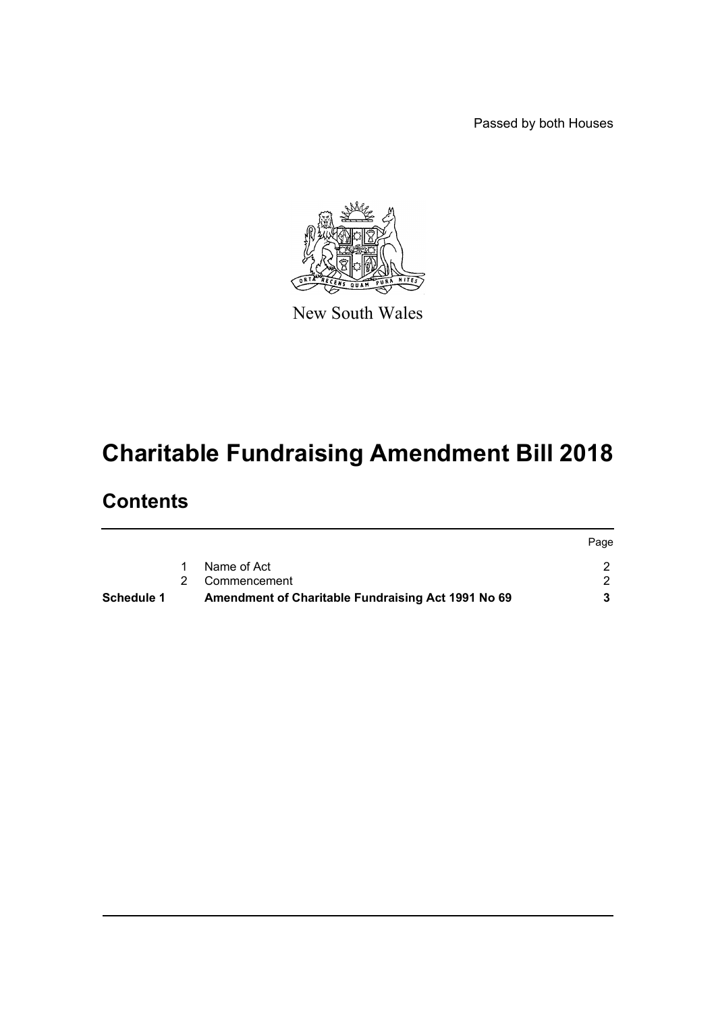Passed by both Houses



New South Wales

# **Charitable Fundraising Amendment Bill 2018**

# **Contents**

| Schedule 1 | Amendment of Charitable Fundraising Act 1991 No 69 |      |
|------------|----------------------------------------------------|------|
|            | 2 Commencement                                     |      |
|            | Name of Act                                        |      |
|            |                                                    | Page |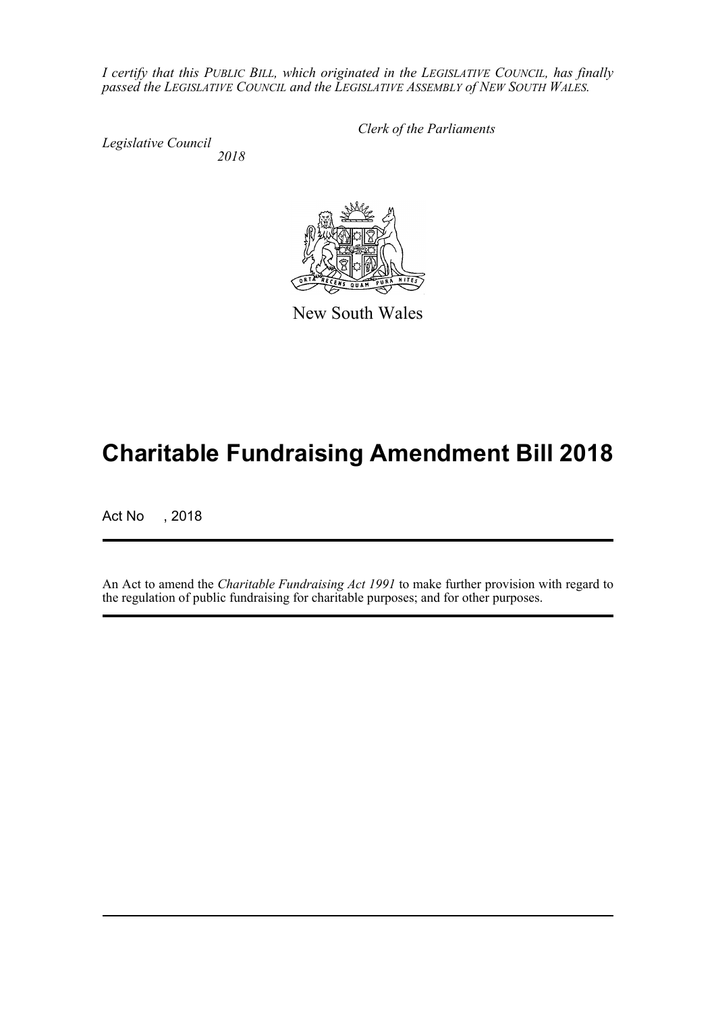*I certify that this PUBLIC BILL, which originated in the LEGISLATIVE COUNCIL, has finally passed the LEGISLATIVE COUNCIL and the LEGISLATIVE ASSEMBLY of NEW SOUTH WALES.*

*Legislative Council 2018* *Clerk of the Parliaments*



New South Wales

# **Charitable Fundraising Amendment Bill 2018**

Act No , 2018

An Act to amend the *Charitable Fundraising Act 1991* to make further provision with regard to the regulation of public fundraising for charitable purposes; and for other purposes.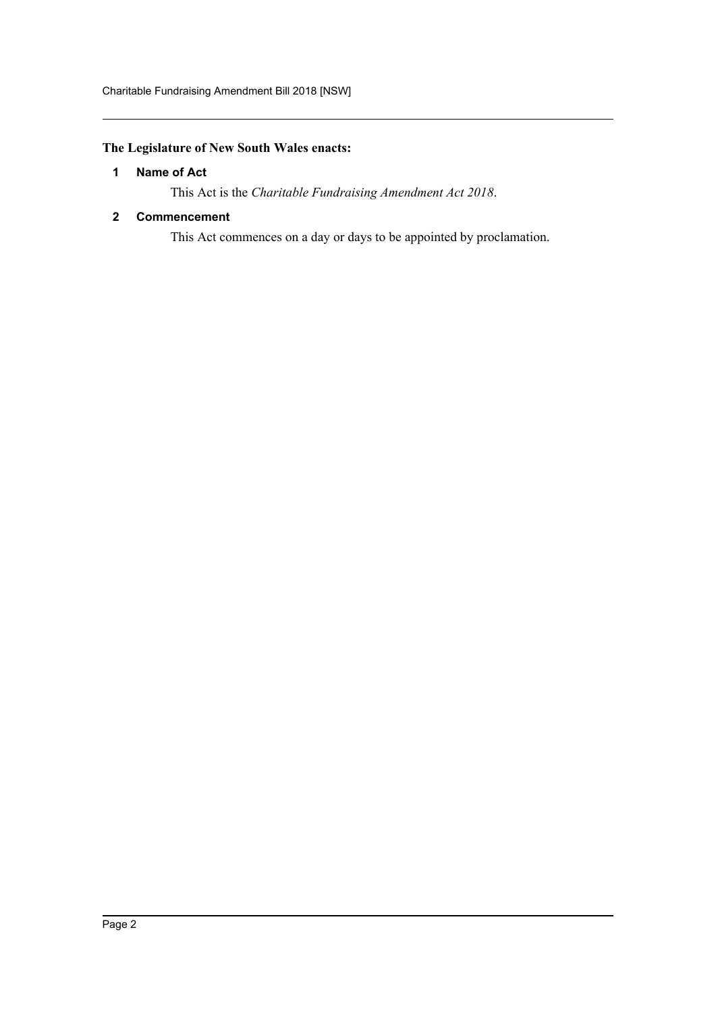# <span id="page-2-0"></span>**The Legislature of New South Wales enacts:**

# **1 Name of Act**

This Act is the *Charitable Fundraising Amendment Act 2018*.

# <span id="page-2-1"></span>**2 Commencement**

This Act commences on a day or days to be appointed by proclamation.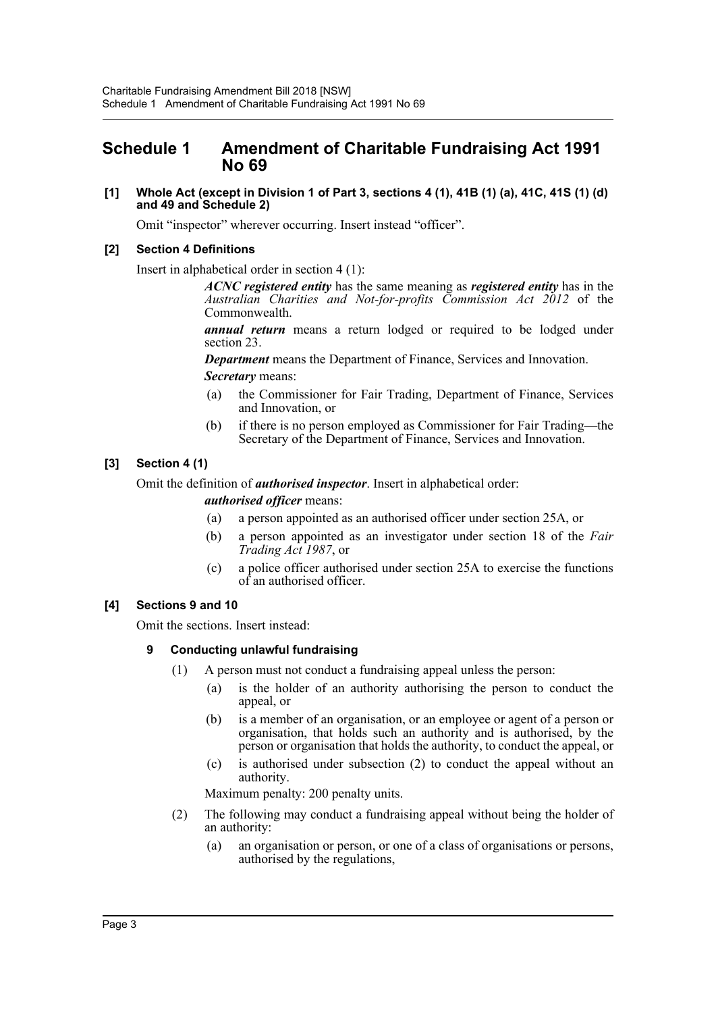# <span id="page-3-0"></span>**Schedule 1 Amendment of Charitable Fundraising Act 1991 No 69**

## **[1] Whole Act (except in Division 1 of Part 3, sections 4 (1), 41B (1) (a), 41C, 41S (1) (d) and 49 and Schedule 2)**

Omit "inspector" wherever occurring. Insert instead "officer".

# **[2] Section 4 Definitions**

Insert in alphabetical order in section 4 (1):

*ACNC registered entity* has the same meaning as *registered entity* has in the *Australian Charities and Not-for-profits Commission Act 2012* of the Commonwealth.

*annual return* means a return lodged or required to be lodged under section 23.

*Department* means the Department of Finance, Services and Innovation. *Secretary* means:

- (a) the Commissioner for Fair Trading, Department of Finance, Services and Innovation, or
- (b) if there is no person employed as Commissioner for Fair Trading—the Secretary of the Department of Finance, Services and Innovation.

# **[3] Section 4 (1)**

Omit the definition of *authorised inspector*. Insert in alphabetical order:

*authorised officer* means:

- (a) a person appointed as an authorised officer under section 25A, or
- (b) a person appointed as an investigator under section 18 of the *Fair Trading Act 1987*, or
- (c) a police officer authorised under section 25A to exercise the functions of an authorised officer.

## **[4] Sections 9 and 10**

Omit the sections. Insert instead:

## **9 Conducting unlawful fundraising**

- (1) A person must not conduct a fundraising appeal unless the person:
	- (a) is the holder of an authority authorising the person to conduct the appeal, or
	- (b) is a member of an organisation, or an employee or agent of a person or organisation, that holds such an authority and is authorised, by the person or organisation that holds the authority, to conduct the appeal, or
	- (c) is authorised under subsection (2) to conduct the appeal without an authority.

Maximum penalty: 200 penalty units.

- (2) The following may conduct a fundraising appeal without being the holder of an authority:
	- (a) an organisation or person, or one of a class of organisations or persons, authorised by the regulations,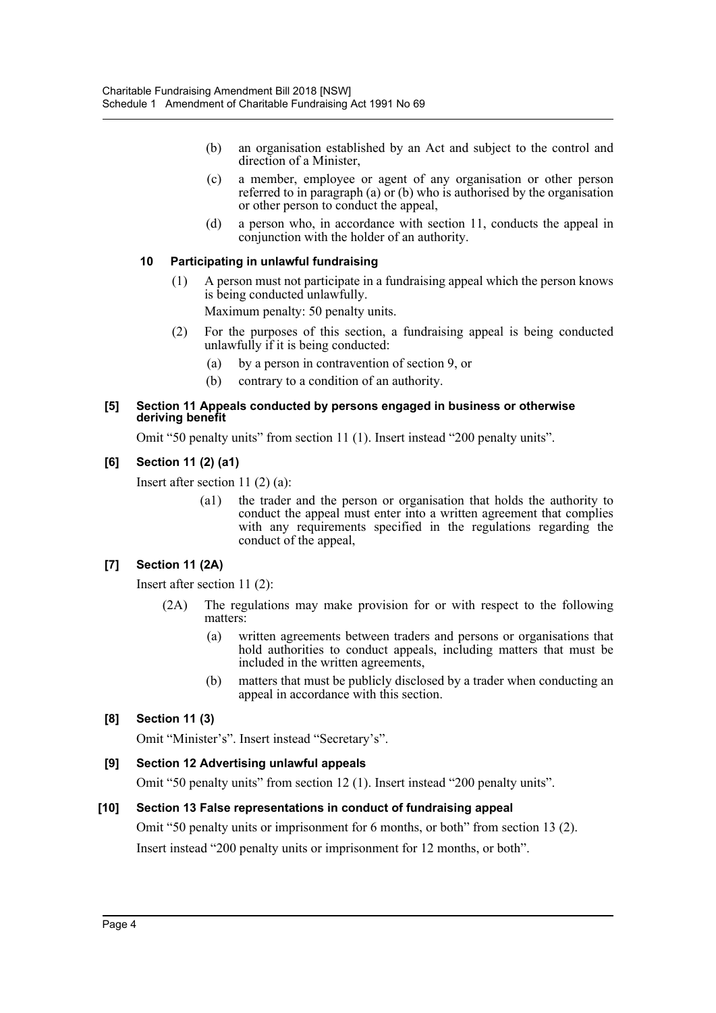- (b) an organisation established by an Act and subject to the control and direction of a Minister,
- (c) a member, employee or agent of any organisation or other person referred to in paragraph (a) or (b) who is authorised by the organisation or other person to conduct the appeal,
- (d) a person who, in accordance with section 11, conducts the appeal in conjunction with the holder of an authority.

# **10 Participating in unlawful fundraising**

(1) A person must not participate in a fundraising appeal which the person knows is being conducted unlawfully.

Maximum penalty: 50 penalty units.

- (2) For the purposes of this section, a fundraising appeal is being conducted unlawfully if it is being conducted:
	- (a) by a person in contravention of section 9, or
	- (b) contrary to a condition of an authority.

## **[5] Section 11 Appeals conducted by persons engaged in business or otherwise deriving benefit**

Omit "50 penalty units" from section 11 (1). Insert instead "200 penalty units".

# **[6] Section 11 (2) (a1)**

Insert after section 11 (2) (a):

(a1) the trader and the person or organisation that holds the authority to conduct the appeal must enter into a written agreement that complies with any requirements specified in the regulations regarding the conduct of the appeal,

# **[7] Section 11 (2A)**

Insert after section 11 (2):

- (2A) The regulations may make provision for or with respect to the following matters:
	- (a) written agreements between traders and persons or organisations that hold authorities to conduct appeals, including matters that must be included in the written agreements,
	- (b) matters that must be publicly disclosed by a trader when conducting an appeal in accordance with this section.

# **[8] Section 11 (3)**

Omit "Minister's". Insert instead "Secretary's".

# **[9] Section 12 Advertising unlawful appeals**

Omit "50 penalty units" from section 12 (1). Insert instead "200 penalty units".

# **[10] Section 13 False representations in conduct of fundraising appeal**

Omit "50 penalty units or imprisonment for 6 months, or both" from section 13 (2).

Insert instead "200 penalty units or imprisonment for 12 months, or both".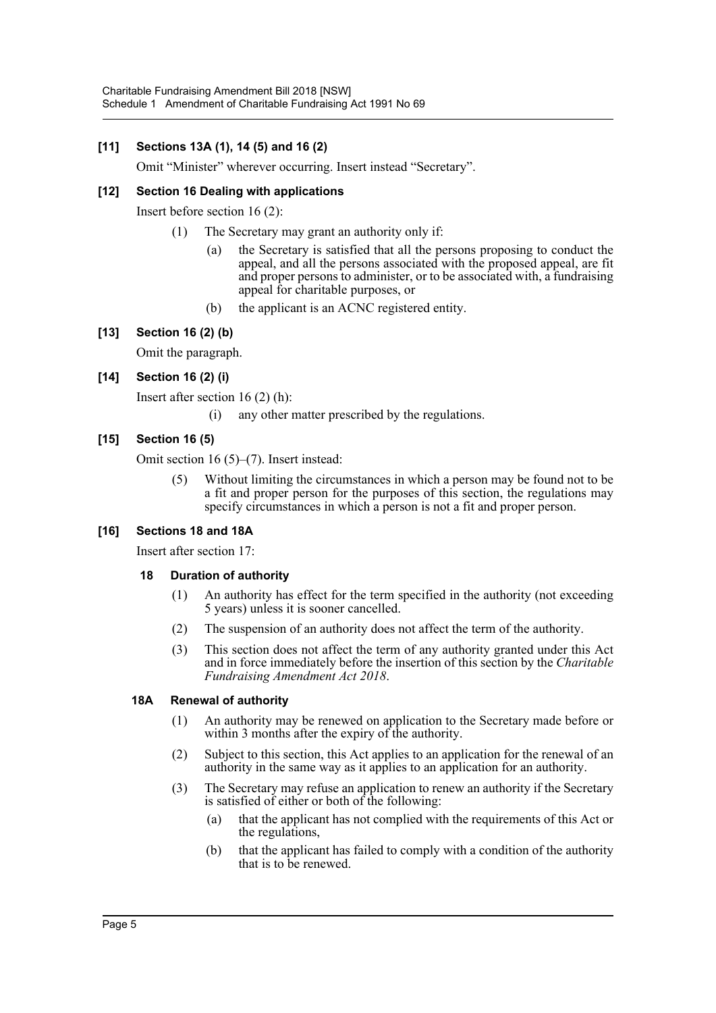# **[11] Sections 13A (1), 14 (5) and 16 (2)**

Omit "Minister" wherever occurring. Insert instead "Secretary".

# **[12] Section 16 Dealing with applications**

Insert before section 16 (2):

- (1) The Secretary may grant an authority only if:
	- (a) the Secretary is satisfied that all the persons proposing to conduct the appeal, and all the persons associated with the proposed appeal, are fit and proper persons to administer, or to be associated with, a fundraising appeal for charitable purposes, or
	- (b) the applicant is an ACNC registered entity.

# **[13] Section 16 (2) (b)**

Omit the paragraph.

# **[14] Section 16 (2) (i)**

Insert after section 16 (2) (h):

(i) any other matter prescribed by the regulations.

# **[15] Section 16 (5)**

Omit section 16 (5)–(7). Insert instead:

(5) Without limiting the circumstances in which a person may be found not to be a fit and proper person for the purposes of this section, the regulations may specify circumstances in which a person is not a fit and proper person.

# **[16] Sections 18 and 18A**

Insert after section 17:

## **18 Duration of authority**

- (1) An authority has effect for the term specified in the authority (not exceeding 5 years) unless it is sooner cancelled.
- (2) The suspension of an authority does not affect the term of the authority.
- (3) This section does not affect the term of any authority granted under this Act and in force immediately before the insertion of this section by the *Charitable Fundraising Amendment Act 2018*.

## **18A Renewal of authority**

- (1) An authority may be renewed on application to the Secretary made before or within 3 months after the expiry of the authority.
- (2) Subject to this section, this Act applies to an application for the renewal of an authority in the same way as it applies to an application for an authority.
- (3) The Secretary may refuse an application to renew an authority if the Secretary is satisfied of either or both of the following:
	- (a) that the applicant has not complied with the requirements of this Act or the regulations,
	- (b) that the applicant has failed to comply with a condition of the authority that is to be renewed.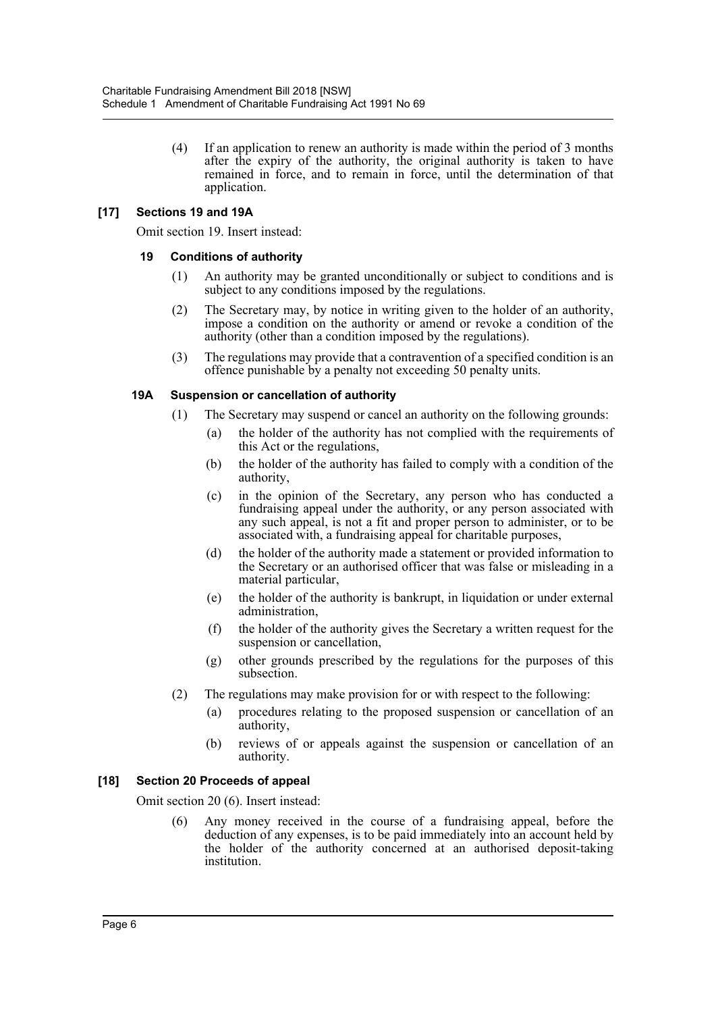(4) If an application to renew an authority is made within the period of 3 months after the expiry of the authority, the original authority is taken to have remained in force, and to remain in force, until the determination of that application.

# **[17] Sections 19 and 19A**

Omit section 19. Insert instead:

## **19 Conditions of authority**

- (1) An authority may be granted unconditionally or subject to conditions and is subject to any conditions imposed by the regulations.
- (2) The Secretary may, by notice in writing given to the holder of an authority, impose a condition on the authority or amend or revoke a condition of the authority (other than a condition imposed by the regulations).
- (3) The regulations may provide that a contravention of a specified condition is an offence punishable by a penalty not exceeding 50 penalty units.

## **19A Suspension or cancellation of authority**

- (1) The Secretary may suspend or cancel an authority on the following grounds:
	- (a) the holder of the authority has not complied with the requirements of this Act or the regulations,
	- (b) the holder of the authority has failed to comply with a condition of the authority,
	- (c) in the opinion of the Secretary, any person who has conducted a fundraising appeal under the authority, or any person associated with any such appeal, is not a fit and proper person to administer, or to be associated with, a fundraising appeal for charitable purposes,
	- (d) the holder of the authority made a statement or provided information to the Secretary or an authorised officer that was false or misleading in a material particular,
	- (e) the holder of the authority is bankrupt, in liquidation or under external administration,
	- (f) the holder of the authority gives the Secretary a written request for the suspension or cancellation,
	- (g) other grounds prescribed by the regulations for the purposes of this subsection.
- (2) The regulations may make provision for or with respect to the following:
	- (a) procedures relating to the proposed suspension or cancellation of an authority,
	- (b) reviews of or appeals against the suspension or cancellation of an authority.

## **[18] Section 20 Proceeds of appeal**

Omit section 20 (6). Insert instead:

(6) Any money received in the course of a fundraising appeal, before the deduction of any expenses, is to be paid immediately into an account held by the holder of the authority concerned at an authorised deposit-taking institution.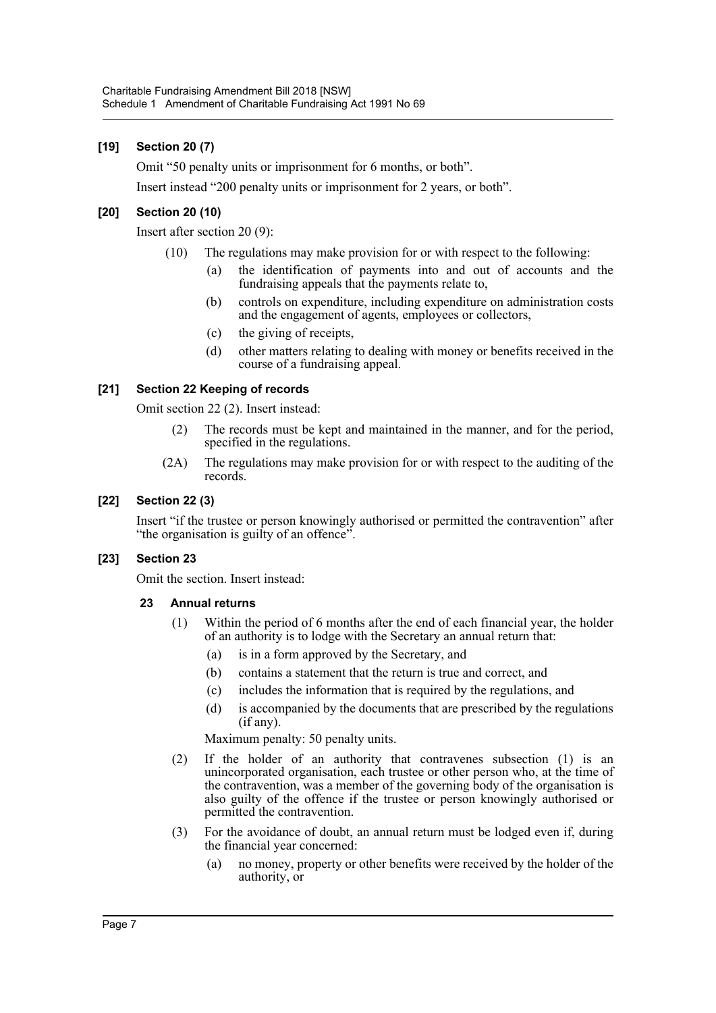# **[19] Section 20 (7)**

Omit "50 penalty units or imprisonment for 6 months, or both".

Insert instead "200 penalty units or imprisonment for 2 years, or both".

# **[20] Section 20 (10)**

Insert after section 20 (9):

- (10) The regulations may make provision for or with respect to the following:
	- (a) the identification of payments into and out of accounts and the fundraising appeals that the payments relate to,
	- (b) controls on expenditure, including expenditure on administration costs and the engagement of agents, employees or collectors,
	- (c) the giving of receipts,
	- (d) other matters relating to dealing with money or benefits received in the course of a fundraising appeal.

# **[21] Section 22 Keeping of records**

Omit section 22 (2). Insert instead:

- (2) The records must be kept and maintained in the manner, and for the period, specified in the regulations.
- (2A) The regulations may make provision for or with respect to the auditing of the records.

# **[22] Section 22 (3)**

Insert "if the trustee or person knowingly authorised or permitted the contravention" after "the organisation is guilty of an offence".

## **[23] Section 23**

Omit the section. Insert instead:

## **23 Annual returns**

- (1) Within the period of 6 months after the end of each financial year, the holder of an authority is to lodge with the Secretary an annual return that:
	- (a) is in a form approved by the Secretary, and
	- (b) contains a statement that the return is true and correct, and
	- (c) includes the information that is required by the regulations, and
	- (d) is accompanied by the documents that are prescribed by the regulations (if any).

Maximum penalty: 50 penalty units.

- (2) If the holder of an authority that contravenes subsection (1) is an unincorporated organisation, each trustee or other person who, at the time of the contravention, was a member of the governing body of the organisation is also guilty of the offence if the trustee or person knowingly authorised or permitted the contravention.
- (3) For the avoidance of doubt, an annual return must be lodged even if, during the financial year concerned:
	- (a) no money, property or other benefits were received by the holder of the authority, or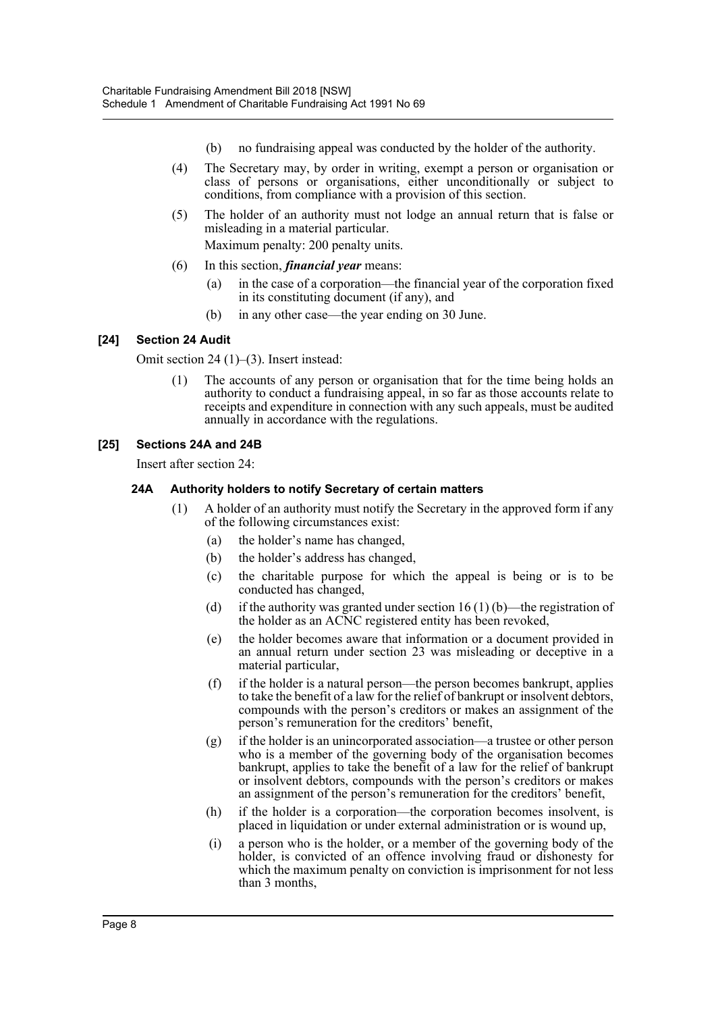- (b) no fundraising appeal was conducted by the holder of the authority.
- (4) The Secretary may, by order in writing, exempt a person or organisation or class of persons or organisations, either unconditionally or subject to conditions, from compliance with a provision of this section.
- (5) The holder of an authority must not lodge an annual return that is false or misleading in a material particular.

Maximum penalty: 200 penalty units.

- (6) In this section, *financial year* means:
	- (a) in the case of a corporation—the financial year of the corporation fixed in its constituting document (if any), and
	- (b) in any other case—the year ending on 30 June.

# **[24] Section 24 Audit**

Omit section 24 (1)–(3). Insert instead:

(1) The accounts of any person or organisation that for the time being holds an authority to conduct a fundraising appeal, in so far as those accounts relate to receipts and expenditure in connection with any such appeals, must be audited annually in accordance with the regulations.

# **[25] Sections 24A and 24B**

Insert after section 24:

# **24A Authority holders to notify Secretary of certain matters**

- (1) A holder of an authority must notify the Secretary in the approved form if any of the following circumstances exist:
	- (a) the holder's name has changed,
	- (b) the holder's address has changed,
	- (c) the charitable purpose for which the appeal is being or is to be conducted has changed,
	- (d) if the authority was granted under section 16 (1) (b)—the registration of the holder as an ACNC registered entity has been revoked,
	- (e) the holder becomes aware that information or a document provided in an annual return under section 23 was misleading or deceptive in a material particular,
	- (f) if the holder is a natural person—the person becomes bankrupt, applies to take the benefit of a law for the relief of bankrupt or insolvent debtors, compounds with the person's creditors or makes an assignment of the person's remuneration for the creditors' benefit,
	- (g) if the holder is an unincorporated association—a trustee or other person who is a member of the governing body of the organisation becomes bankrupt, applies to take the benefit of a law for the relief of bankrupt or insolvent debtors, compounds with the person's creditors or makes an assignment of the person's remuneration for the creditors' benefit,
	- (h) if the holder is a corporation—the corporation becomes insolvent, is placed in liquidation or under external administration or is wound up,
	- (i) a person who is the holder, or a member of the governing body of the holder, is convicted of an offence involving fraud or dishonesty for which the maximum penalty on conviction is imprisonment for not less than 3 months,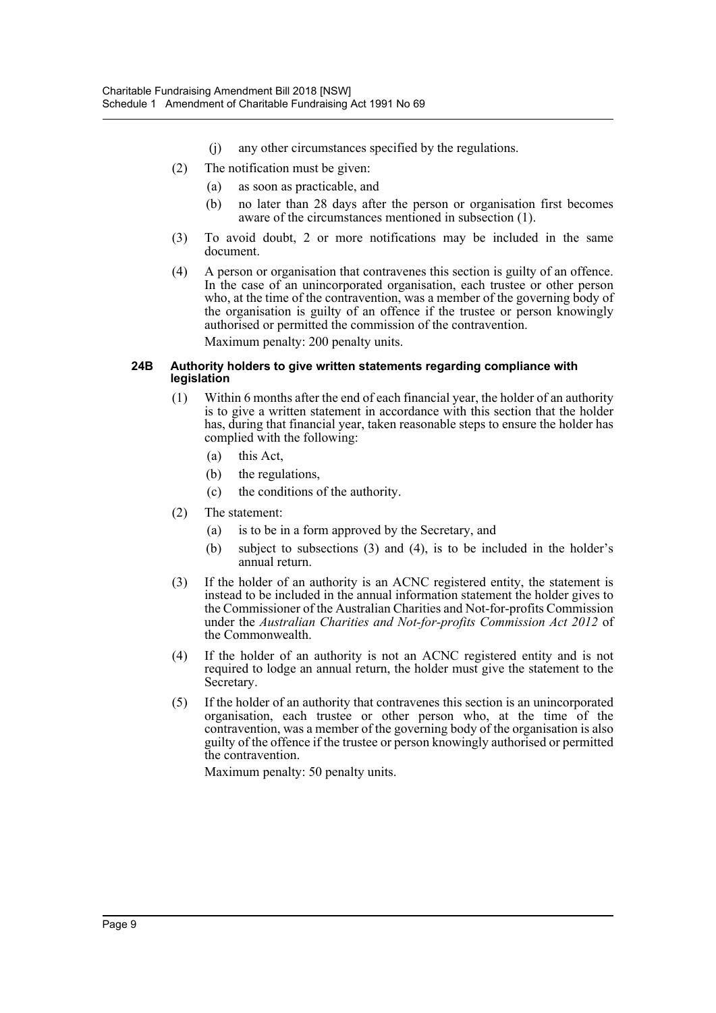- (j) any other circumstances specified by the regulations.
- (2) The notification must be given:
	- (a) as soon as practicable, and
	- (b) no later than 28 days after the person or organisation first becomes aware of the circumstances mentioned in subsection (1).
- (3) To avoid doubt, 2 or more notifications may be included in the same document.
- (4) A person or organisation that contravenes this section is guilty of an offence. In the case of an unincorporated organisation, each trustee or other person who, at the time of the contravention, was a member of the governing body of the organisation is guilty of an offence if the trustee or person knowingly authorised or permitted the commission of the contravention. Maximum penalty: 200 penalty units.

#### **24B Authority holders to give written statements regarding compliance with legislation**

- (1) Within 6 months after the end of each financial year, the holder of an authority is to give a written statement in accordance with this section that the holder has, during that financial year, taken reasonable steps to ensure the holder has complied with the following:
	- (a) this Act,
	- (b) the regulations,
	- (c) the conditions of the authority.
- (2) The statement:
	- (a) is to be in a form approved by the Secretary, and
	- (b) subject to subsections (3) and (4), is to be included in the holder's annual return.
- (3) If the holder of an authority is an ACNC registered entity, the statement is instead to be included in the annual information statement the holder gives to the Commissioner of the Australian Charities and Not-for-profits Commission under the *Australian Charities and Not-for-profits Commission Act 2012* of the Commonwealth.
- (4) If the holder of an authority is not an ACNC registered entity and is not required to lodge an annual return, the holder must give the statement to the Secretary.
- (5) If the holder of an authority that contravenes this section is an unincorporated organisation, each trustee or other person who, at the time of the contravention, was a member of the governing body of the organisation is also guilty of the offence if the trustee or person knowingly authorised or permitted the contravention.

Maximum penalty: 50 penalty units.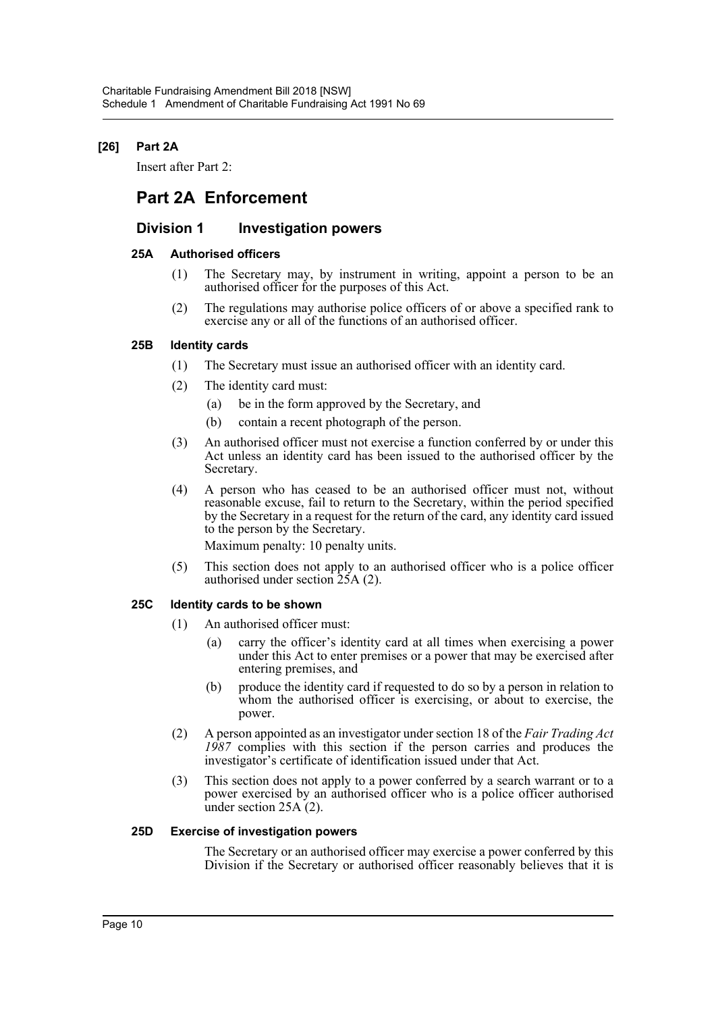# **[26] Part 2A**

Insert after Part 2:

# **Part 2A Enforcement**

# **Division 1 Investigation powers**

## **25A Authorised officers**

- (1) The Secretary may, by instrument in writing, appoint a person to be an authorised officer for the purposes of this Act.
- (2) The regulations may authorise police officers of or above a specified rank to exercise any or all of the functions of an authorised officer.

# **25B Identity cards**

- (1) The Secretary must issue an authorised officer with an identity card.
- (2) The identity card must:
	- (a) be in the form approved by the Secretary, and
	- (b) contain a recent photograph of the person.
- (3) An authorised officer must not exercise a function conferred by or under this Act unless an identity card has been issued to the authorised officer by the Secretary.
- (4) A person who has ceased to be an authorised officer must not, without reasonable excuse, fail to return to the Secretary, within the period specified by the Secretary in a request for the return of the card, any identity card issued to the person by the Secretary.

Maximum penalty: 10 penalty units.

(5) This section does not apply to an authorised officer who is a police officer authorised under section 25A (2).

## **25C Identity cards to be shown**

- (1) An authorised officer must:
	- (a) carry the officer's identity card at all times when exercising a power under this Act to enter premises or a power that may be exercised after entering premises, and
	- (b) produce the identity card if requested to do so by a person in relation to whom the authorised officer is exercising, or about to exercise, the power.
- (2) A person appointed as an investigator under section 18 of the *Fair Trading Act 1987* complies with this section if the person carries and produces the investigator's certificate of identification issued under that Act.
- (3) This section does not apply to a power conferred by a search warrant or to a power exercised by an authorised officer who is a police officer authorised under section  $25A(2)$ .

## **25D Exercise of investigation powers**

The Secretary or an authorised officer may exercise a power conferred by this Division if the Secretary or authorised officer reasonably believes that it is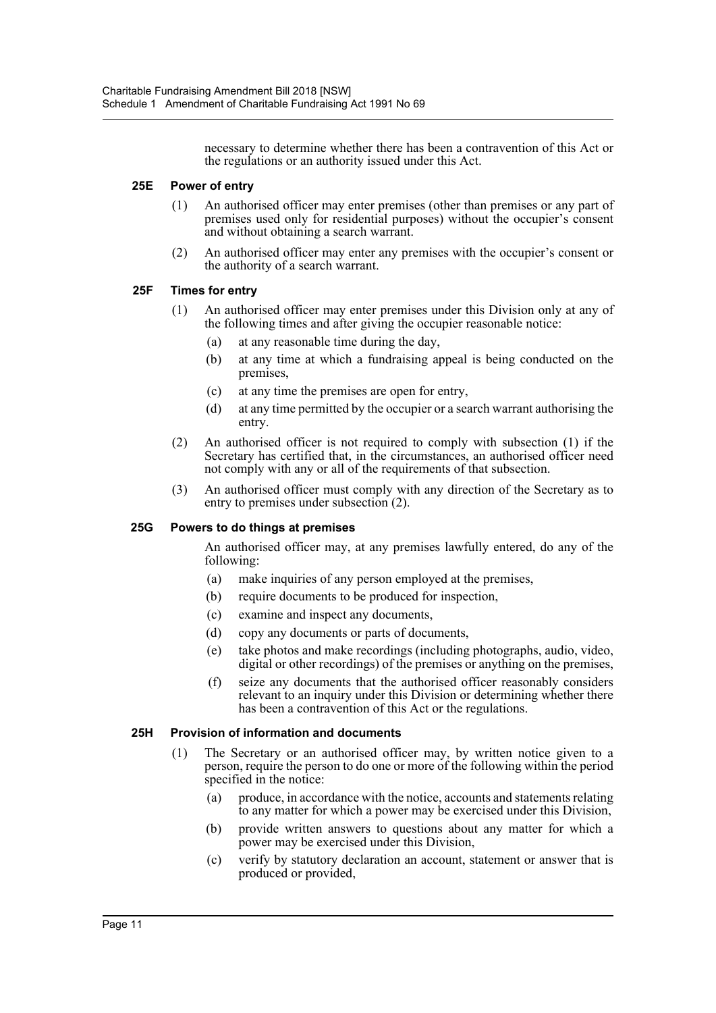necessary to determine whether there has been a contravention of this Act or the regulations or an authority issued under this Act.

## **25E Power of entry**

- (1) An authorised officer may enter premises (other than premises or any part of premises used only for residential purposes) without the occupier's consent and without obtaining a search warrant.
- (2) An authorised officer may enter any premises with the occupier's consent or the authority of a search warrant.

## **25F Times for entry**

- (1) An authorised officer may enter premises under this Division only at any of the following times and after giving the occupier reasonable notice:
	- (a) at any reasonable time during the day,
	- (b) at any time at which a fundraising appeal is being conducted on the premises,
	- (c) at any time the premises are open for entry,
	- (d) at any time permitted by the occupier or a search warrant authorising the entry.
- (2) An authorised officer is not required to comply with subsection (1) if the Secretary has certified that, in the circumstances, an authorised officer need not comply with any or all of the requirements of that subsection.
- (3) An authorised officer must comply with any direction of the Secretary as to entry to premises under subsection (2).

## **25G Powers to do things at premises**

An authorised officer may, at any premises lawfully entered, do any of the following:

- (a) make inquiries of any person employed at the premises,
- (b) require documents to be produced for inspection,
- (c) examine and inspect any documents,
- (d) copy any documents or parts of documents,
- (e) take photos and make recordings (including photographs, audio, video, digital or other recordings) of the premises or anything on the premises,
- (f) seize any documents that the authorised officer reasonably considers relevant to an inquiry under this Division or determining whether there has been a contravention of this Act or the regulations.

#### **25H Provision of information and documents**

- (1) The Secretary or an authorised officer may, by written notice given to a person, require the person to do one or more of the following within the period specified in the notice:
	- (a) produce, in accordance with the notice, accounts and statements relating to any matter for which a power may be exercised under this Division,
	- (b) provide written answers to questions about any matter for which a power may be exercised under this Division,
	- (c) verify by statutory declaration an account, statement or answer that is produced or provided,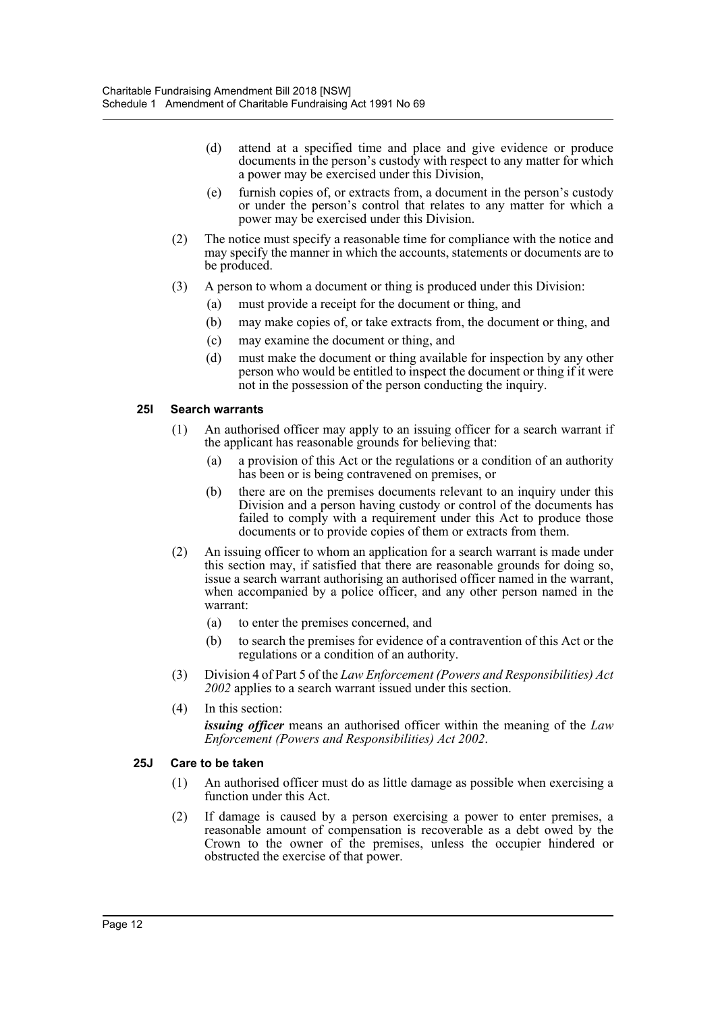- (d) attend at a specified time and place and give evidence or produce documents in the person's custody with respect to any matter for which a power may be exercised under this Division,
- (e) furnish copies of, or extracts from, a document in the person's custody or under the person's control that relates to any matter for which a power may be exercised under this Division.
- (2) The notice must specify a reasonable time for compliance with the notice and may specify the manner in which the accounts, statements or documents are to be produced.
- (3) A person to whom a document or thing is produced under this Division:
	- (a) must provide a receipt for the document or thing, and
	- (b) may make copies of, or take extracts from, the document or thing, and
	- (c) may examine the document or thing, and
	- (d) must make the document or thing available for inspection by any other person who would be entitled to inspect the document or thing if it were not in the possession of the person conducting the inquiry.

# **25I Search warrants**

- (1) An authorised officer may apply to an issuing officer for a search warrant if the applicant has reasonable grounds for believing that:
	- (a) a provision of this Act or the regulations or a condition of an authority has been or is being contravened on premises, or
	- (b) there are on the premises documents relevant to an inquiry under this Division and a person having custody or control of the documents has failed to comply with a requirement under this Act to produce those documents or to provide copies of them or extracts from them.
- (2) An issuing officer to whom an application for a search warrant is made under this section may, if satisfied that there are reasonable grounds for doing so, issue a search warrant authorising an authorised officer named in the warrant, when accompanied by a police officer, and any other person named in the warrant:
	- (a) to enter the premises concerned, and
	- (b) to search the premises for evidence of a contravention of this Act or the regulations or a condition of an authority.
- (3) Division 4 of Part 5 of the *Law Enforcement (Powers and Responsibilities) Act 2002* applies to a search warrant issued under this section.
- (4) In this section:

*issuing officer* means an authorised officer within the meaning of the *Law Enforcement (Powers and Responsibilities) Act 2002*.

## **25J Care to be taken**

- (1) An authorised officer must do as little damage as possible when exercising a function under this Act.
- (2) If damage is caused by a person exercising a power to enter premises, a reasonable amount of compensation is recoverable as a debt owed by the Crown to the owner of the premises, unless the occupier hindered or obstructed the exercise of that power.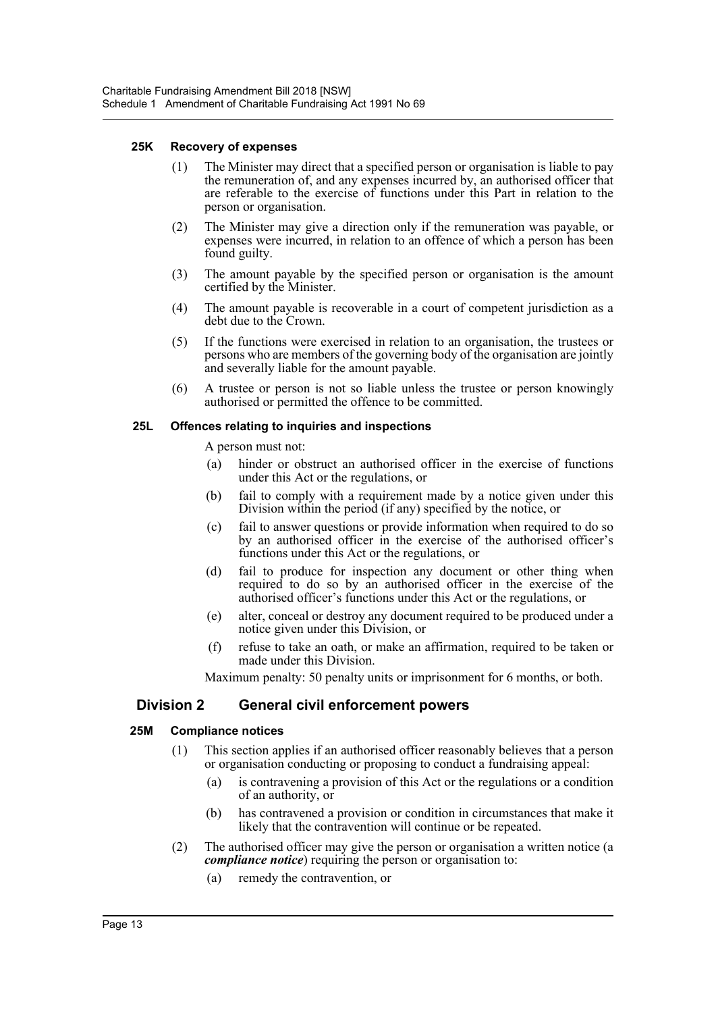## **25K Recovery of expenses**

- (1) The Minister may direct that a specified person or organisation is liable to pay the remuneration of, and any expenses incurred by, an authorised officer that are referable to the exercise of functions under this Part in relation to the person or organisation.
- (2) The Minister may give a direction only if the remuneration was payable, or expenses were incurred, in relation to an offence of which a person has been found guilty.
- (3) The amount payable by the specified person or organisation is the amount certified by the Minister.
- (4) The amount payable is recoverable in a court of competent jurisdiction as a debt due to the Crown.
- (5) If the functions were exercised in relation to an organisation, the trustees or persons who are members of the governing body of the organisation are jointly and severally liable for the amount payable.
- (6) A trustee or person is not so liable unless the trustee or person knowingly authorised or permitted the offence to be committed.

#### **25L Offences relating to inquiries and inspections**

A person must not:

- (a) hinder or obstruct an authorised officer in the exercise of functions under this Act or the regulations, or
- (b) fail to comply with a requirement made by a notice given under this Division within the period (if any) specified by the notice, or
- (c) fail to answer questions or provide information when required to do so by an authorised officer in the exercise of the authorised officer's functions under this Act or the regulations, or
- (d) fail to produce for inspection any document or other thing when required to do so by an authorised officer in the exercise of the authorised officer's functions under this Act or the regulations, or
- (e) alter, conceal or destroy any document required to be produced under a notice given under this Division, or
- (f) refuse to take an oath, or make an affirmation, required to be taken or made under this Division.

Maximum penalty: 50 penalty units or imprisonment for 6 months, or both.

# **Division 2 General civil enforcement powers**

## **25M Compliance notices**

- (1) This section applies if an authorised officer reasonably believes that a person or organisation conducting or proposing to conduct a fundraising appeal:
	- (a) is contravening a provision of this Act or the regulations or a condition of an authority, or
	- (b) has contravened a provision or condition in circumstances that make it likely that the contravention will continue or be repeated.
- (2) The authorised officer may give the person or organisation a written notice (a *compliance notice*) requiring the person or organisation to:
	- (a) remedy the contravention, or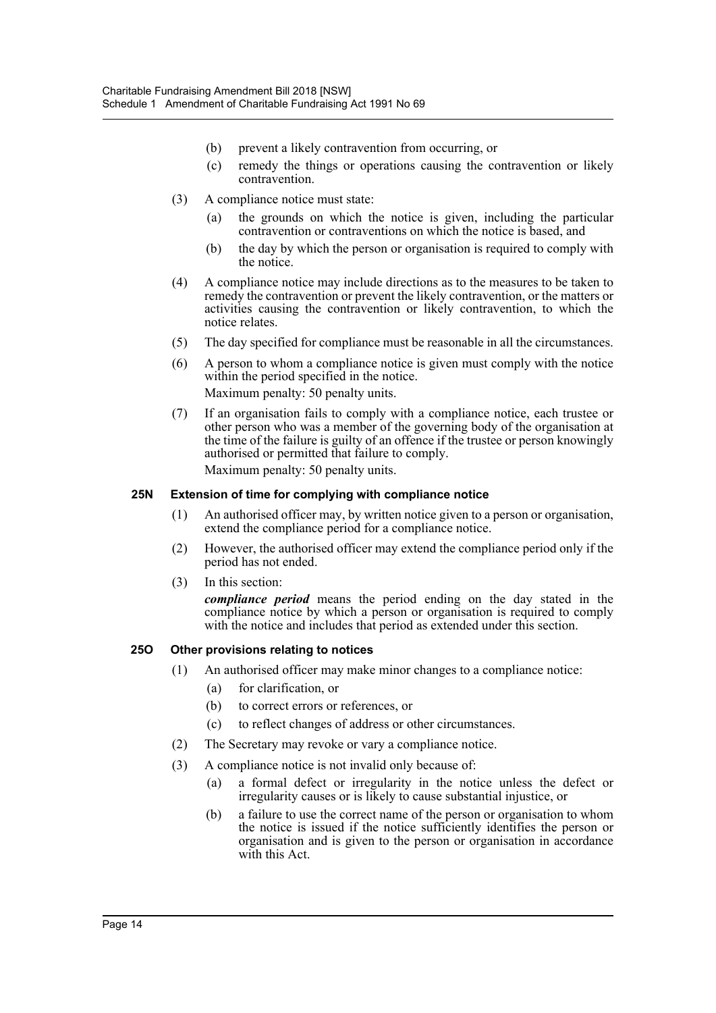- (b) prevent a likely contravention from occurring, or
- (c) remedy the things or operations causing the contravention or likely contravention.
- (3) A compliance notice must state:
	- (a) the grounds on which the notice is given, including the particular contravention or contraventions on which the notice is based, and
	- (b) the day by which the person or organisation is required to comply with the notice.
- (4) A compliance notice may include directions as to the measures to be taken to remedy the contravention or prevent the likely contravention, or the matters or activities causing the contravention or likely contravention, to which the notice relates.
- (5) The day specified for compliance must be reasonable in all the circumstances.
- (6) A person to whom a compliance notice is given must comply with the notice within the period specified in the notice. Maximum penalty: 50 penalty units.
- (7) If an organisation fails to comply with a compliance notice, each trustee or other person who was a member of the governing body of the organisation at the time of the failure is guilty of an offence if the trustee or person knowingly authorised or permitted that failure to comply. Maximum penalty: 50 penalty units.

## **25N Extension of time for complying with compliance notice**

- (1) An authorised officer may, by written notice given to a person or organisation, extend the compliance period for a compliance notice.
- (2) However, the authorised officer may extend the compliance period only if the period has not ended.
- (3) In this section:

*compliance period* means the period ending on the day stated in the compliance notice by which a person or organisation is required to comply with the notice and includes that period as extended under this section.

#### **25O Other provisions relating to notices**

- (1) An authorised officer may make minor changes to a compliance notice:
	- (a) for clarification, or
	- (b) to correct errors or references, or
	- (c) to reflect changes of address or other circumstances.
- (2) The Secretary may revoke or vary a compliance notice.
- (3) A compliance notice is not invalid only because of:
	- (a) a formal defect or irregularity in the notice unless the defect or irregularity causes or is likely to cause substantial injustice, or
	- (b) a failure to use the correct name of the person or organisation to whom the notice is issued if the notice sufficiently identifies the person or organisation and is given to the person or organisation in accordance with this Act.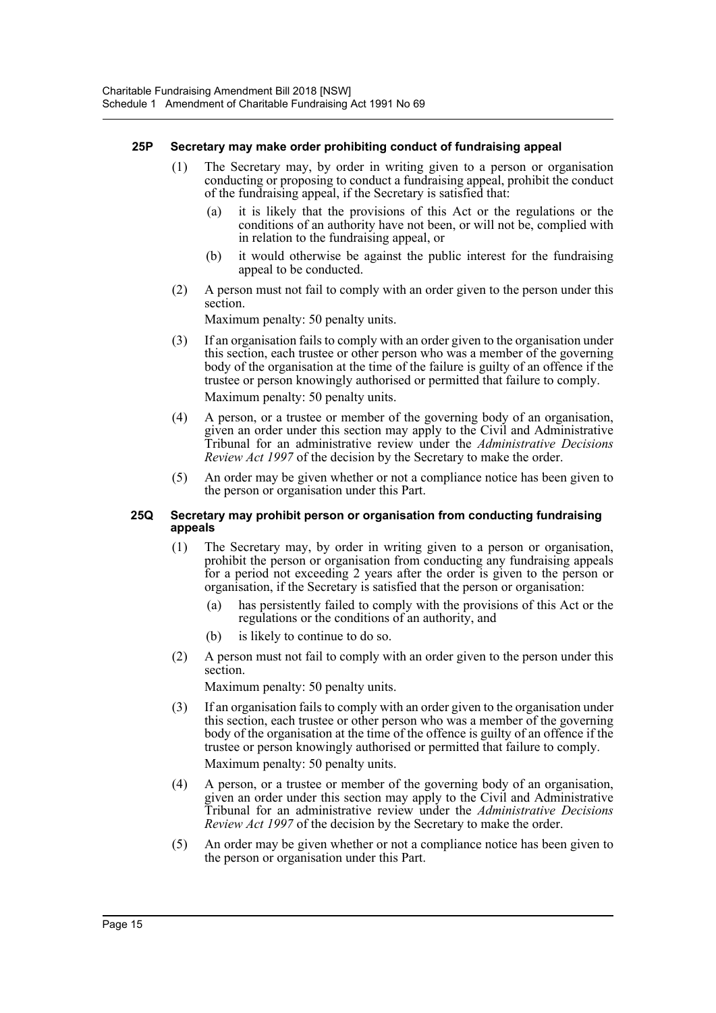## **25P Secretary may make order prohibiting conduct of fundraising appeal**

- (1) The Secretary may, by order in writing given to a person or organisation conducting or proposing to conduct a fundraising appeal, prohibit the conduct of the fundraising appeal, if the Secretary is satisfied that:
	- (a) it is likely that the provisions of this Act or the regulations or the conditions of an authority have not been, or will not be, complied with in relation to the fundraising appeal, or
	- (b) it would otherwise be against the public interest for the fundraising appeal to be conducted.
- (2) A person must not fail to comply with an order given to the person under this section.

Maximum penalty: 50 penalty units.

- (3) If an organisation fails to comply with an order given to the organisation under this section, each trustee or other person who was a member of the governing body of the organisation at the time of the failure is guilty of an offence if the trustee or person knowingly authorised or permitted that failure to comply. Maximum penalty: 50 penalty units.
- (4) A person, or a trustee or member of the governing body of an organisation, given an order under this section may apply to the Civil and Administrative Tribunal for an administrative review under the *Administrative Decisions Review Act 1997* of the decision by the Secretary to make the order.
- (5) An order may be given whether or not a compliance notice has been given to the person or organisation under this Part.

#### **25Q Secretary may prohibit person or organisation from conducting fundraising appeals**

- (1) The Secretary may, by order in writing given to a person or organisation, prohibit the person or organisation from conducting any fundraising appeals for a period not exceeding 2 years after the order is given to the person or organisation, if the Secretary is satisfied that the person or organisation:
	- (a) has persistently failed to comply with the provisions of this Act or the regulations or the conditions of an authority, and
	- (b) is likely to continue to do so.
- (2) A person must not fail to comply with an order given to the person under this section.

Maximum penalty: 50 penalty units.

- (3) If an organisation fails to comply with an order given to the organisation under this section, each trustee or other person who was a member of the governing body of the organisation at the time of the offence is guilty of an offence if the trustee or person knowingly authorised or permitted that failure to comply. Maximum penalty: 50 penalty units.
- (4) A person, or a trustee or member of the governing body of an organisation, given an order under this section may apply to the Civil and Administrative Tribunal for an administrative review under the *Administrative Decisions Review Act 1997* of the decision by the Secretary to make the order.
- (5) An order may be given whether or not a compliance notice has been given to the person or organisation under this Part.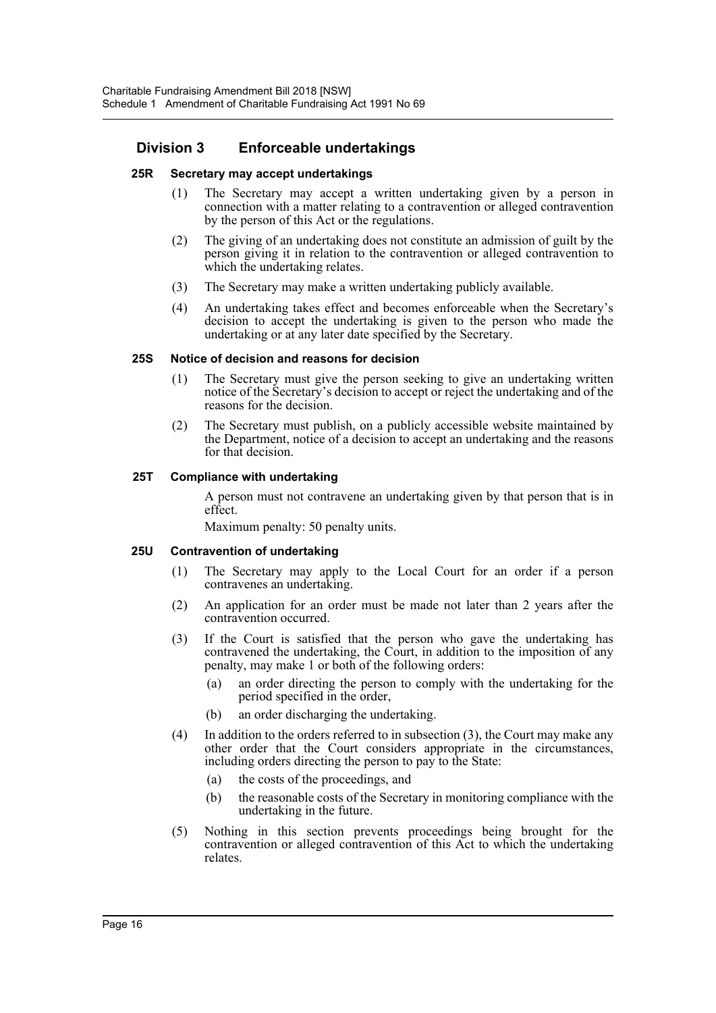# **Division 3 Enforceable undertakings**

## **25R Secretary may accept undertakings**

- (1) The Secretary may accept a written undertaking given by a person in connection with a matter relating to a contravention or alleged contravention by the person of this Act or the regulations.
- (2) The giving of an undertaking does not constitute an admission of guilt by the person giving it in relation to the contravention or alleged contravention to which the undertaking relates.
- (3) The Secretary may make a written undertaking publicly available.
- (4) An undertaking takes effect and becomes enforceable when the Secretary's decision to accept the undertaking is given to the person who made the undertaking or at any later date specified by the Secretary.

## **25S Notice of decision and reasons for decision**

- (1) The Secretary must give the person seeking to give an undertaking written notice of the Secretary's decision to accept or reject the undertaking and of the reasons for the decision.
- (2) The Secretary must publish, on a publicly accessible website maintained by the Department, notice of a decision to accept an undertaking and the reasons for that decision.

# **25T Compliance with undertaking**

A person must not contravene an undertaking given by that person that is in effect.

Maximum penalty: 50 penalty units.

## **25U Contravention of undertaking**

- (1) The Secretary may apply to the Local Court for an order if a person contravenes an undertaking.
- (2) An application for an order must be made not later than 2 years after the contravention occurred.
- (3) If the Court is satisfied that the person who gave the undertaking has contravened the undertaking, the Court, in addition to the imposition of any penalty, may make 1 or both of the following orders:
	- (a) an order directing the person to comply with the undertaking for the period specified in the order,
	- (b) an order discharging the undertaking.
- (4) In addition to the orders referred to in subsection (3), the Court may make any other order that the Court considers appropriate in the circumstances, including orders directing the person to pay to the State:
	- (a) the costs of the proceedings, and
	- (b) the reasonable costs of the Secretary in monitoring compliance with the undertaking in the future.
- (5) Nothing in this section prevents proceedings being brought for the contravention or alleged contravention of this Act to which the undertaking relates.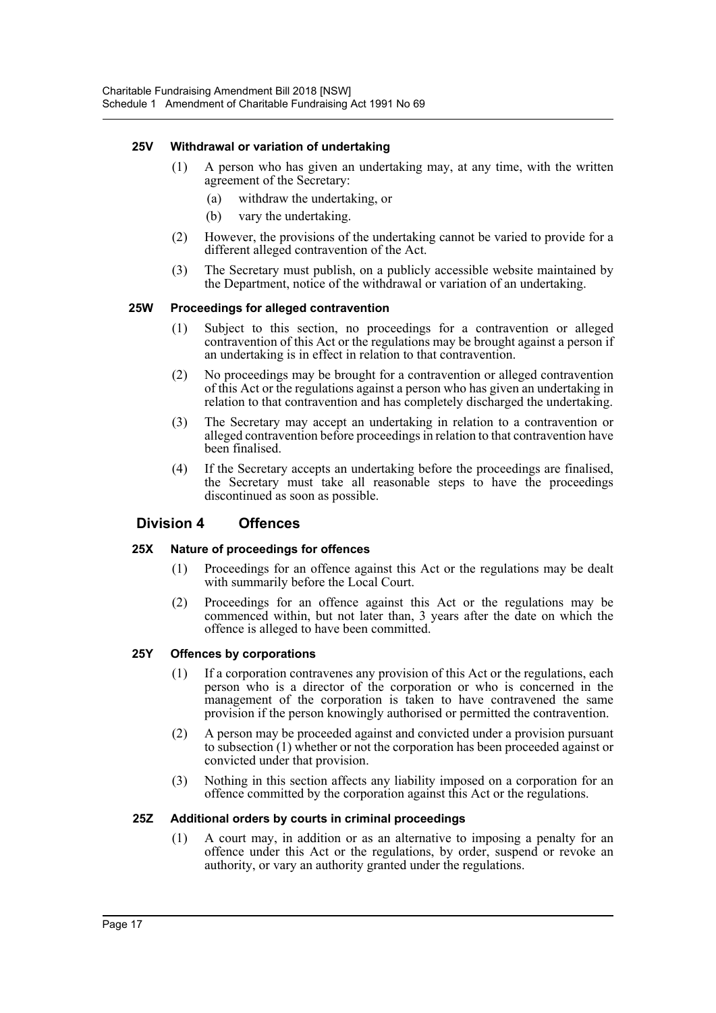## **25V Withdrawal or variation of undertaking**

- (1) A person who has given an undertaking may, at any time, with the written agreement of the Secretary:
	- (a) withdraw the undertaking, or
	- (b) vary the undertaking.
- (2) However, the provisions of the undertaking cannot be varied to provide for a different alleged contravention of the Act.
- (3) The Secretary must publish, on a publicly accessible website maintained by the Department, notice of the withdrawal or variation of an undertaking.

## **25W Proceedings for alleged contravention**

- (1) Subject to this section, no proceedings for a contravention or alleged contravention of this Act or the regulations may be brought against a person if an undertaking is in effect in relation to that contravention.
- (2) No proceedings may be brought for a contravention or alleged contravention of this Act or the regulations against a person who has given an undertaking in relation to that contravention and has completely discharged the undertaking.
- (3) The Secretary may accept an undertaking in relation to a contravention or alleged contravention before proceedings in relation to that contravention have been finalised.
- (4) If the Secretary accepts an undertaking before the proceedings are finalised, the Secretary must take all reasonable steps to have the proceedings discontinued as soon as possible.

# **Division 4 Offences**

## **25X Nature of proceedings for offences**

- (1) Proceedings for an offence against this Act or the regulations may be dealt with summarily before the Local Court.
- (2) Proceedings for an offence against this Act or the regulations may be commenced within, but not later than, 3 years after the date on which the offence is alleged to have been committed.

## **25Y Offences by corporations**

- (1) If a corporation contravenes any provision of this Act or the regulations, each person who is a director of the corporation or who is concerned in the management of the corporation is taken to have contravened the same provision if the person knowingly authorised or permitted the contravention.
- (2) A person may be proceeded against and convicted under a provision pursuant to subsection (1) whether or not the corporation has been proceeded against or convicted under that provision.
- (3) Nothing in this section affects any liability imposed on a corporation for an offence committed by the corporation against this Act or the regulations.

## **25Z Additional orders by courts in criminal proceedings**

(1) A court may, in addition or as an alternative to imposing a penalty for an offence under this Act or the regulations, by order, suspend or revoke an authority, or vary an authority granted under the regulations.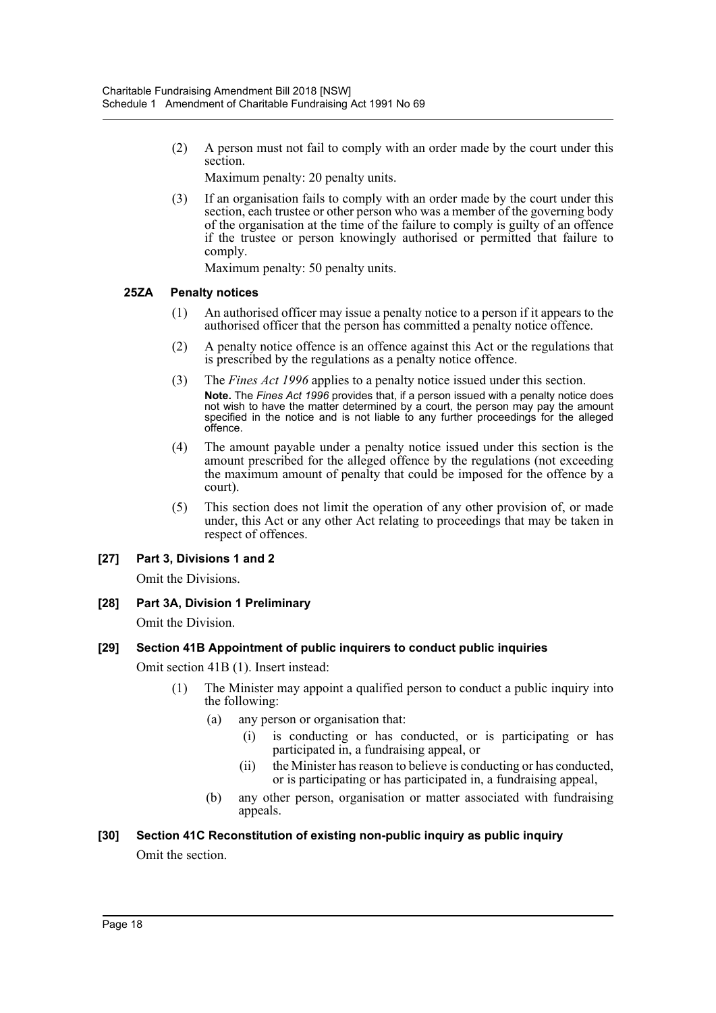(2) A person must not fail to comply with an order made by the court under this section.

Maximum penalty: 20 penalty units.

(3) If an organisation fails to comply with an order made by the court under this section, each trustee or other person who was a member of the governing body of the organisation at the time of the failure to comply is guilty of an offence if the trustee or person knowingly authorised or permitted that failure to comply.

Maximum penalty: 50 penalty units.

# **25ZA Penalty notices**

- (1) An authorised officer may issue a penalty notice to a person if it appears to the authorised officer that the person has committed a penalty notice offence.
- (2) A penalty notice offence is an offence against this Act or the regulations that is prescribed by the regulations as a penalty notice offence.
- (3) The *Fines Act 1996* applies to a penalty notice issued under this section. **Note.** The *Fines Act 1996* provides that, if a person issued with a penalty notice does not wish to have the matter determined by a court, the person may pay the amount specified in the notice and is not liable to any further proceedings for the alleged offence.
- (4) The amount payable under a penalty notice issued under this section is the amount prescribed for the alleged offence by the regulations (not exceeding the maximum amount of penalty that could be imposed for the offence by a court).
- (5) This section does not limit the operation of any other provision of, or made under, this Act or any other Act relating to proceedings that may be taken in respect of offences.

# **[27] Part 3, Divisions 1 and 2**

Omit the Divisions.

**[28] Part 3A, Division 1 Preliminary**

Omit the Division.

# **[29] Section 41B Appointment of public inquirers to conduct public inquiries**

Omit section 41B (1). Insert instead:

- (1) The Minister may appoint a qualified person to conduct a public inquiry into the following:
	- (a) any person or organisation that:
		- (i) is conducting or has conducted, or is participating or has participated in, a fundraising appeal, or
		- (ii) the Minister has reason to believe is conducting or has conducted, or is participating or has participated in, a fundraising appeal,
	- (b) any other person, organisation or matter associated with fundraising appeals.

# **[30] Section 41C Reconstitution of existing non-public inquiry as public inquiry**

Omit the section.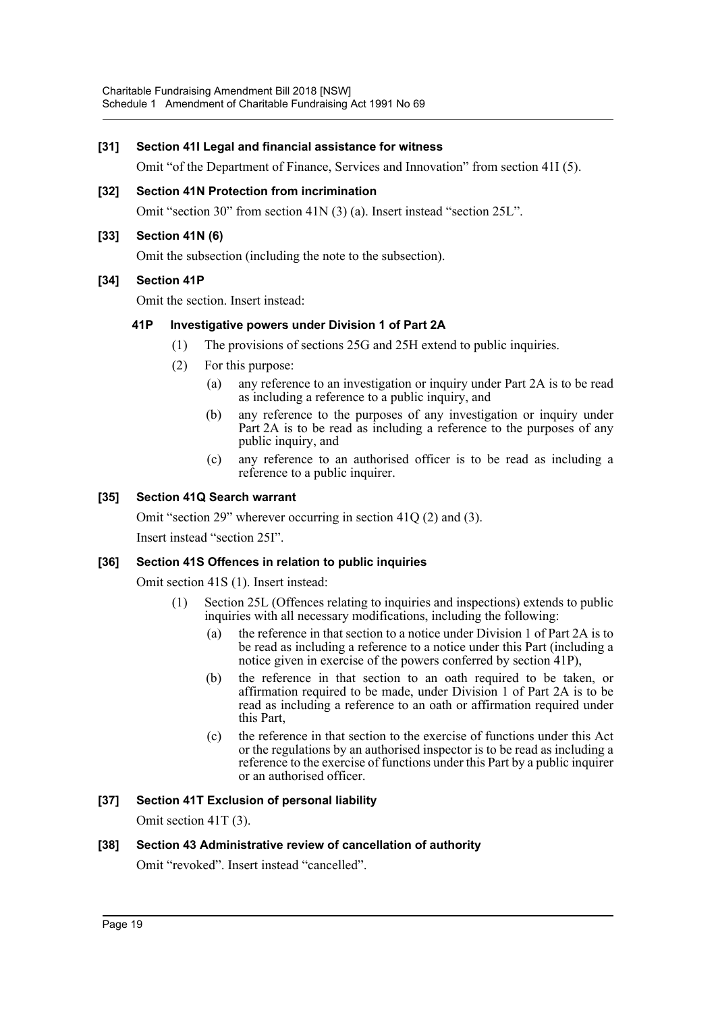## **[31] Section 41I Legal and financial assistance for witness**

Omit "of the Department of Finance, Services and Innovation" from section 41I (5).

## **[32] Section 41N Protection from incrimination**

Omit "section 30" from section 41N (3) (a). Insert instead "section 25L".

# **[33] Section 41N (6)**

Omit the subsection (including the note to the subsection).

# **[34] Section 41P**

Omit the section. Insert instead:

# **41P Investigative powers under Division 1 of Part 2A**

- (1) The provisions of sections 25G and 25H extend to public inquiries.
- (2) For this purpose:
	- (a) any reference to an investigation or inquiry under Part 2A is to be read as including a reference to a public inquiry, and
	- (b) any reference to the purposes of any investigation or inquiry under Part 2A is to be read as including a reference to the purposes of any public inquiry, and
	- (c) any reference to an authorised officer is to be read as including a reference to a public inquirer.

# **[35] Section 41Q Search warrant**

Omit "section 29" wherever occurring in section 41Q (2) and (3).

Insert instead "section 25I".

## **[36] Section 41S Offences in relation to public inquiries**

Omit section 41S (1). Insert instead:

- (1) Section 25L (Offences relating to inquiries and inspections) extends to public inquiries with all necessary modifications, including the following:
	- (a) the reference in that section to a notice under Division 1 of Part 2A is to be read as including a reference to a notice under this Part (including a notice given in exercise of the powers conferred by section 41P),
	- (b) the reference in that section to an oath required to be taken, or affirmation required to be made, under Division 1 of Part 2A is to be read as including a reference to an oath or affirmation required under this Part,
	- (c) the reference in that section to the exercise of functions under this Act or the regulations by an authorised inspector is to be read as including a reference to the exercise of functions under this Part by a public inquirer or an authorised officer.

# **[37] Section 41T Exclusion of personal liability**

Omit section 41T (3).

## **[38] Section 43 Administrative review of cancellation of authority**

Omit "revoked". Insert instead "cancelled".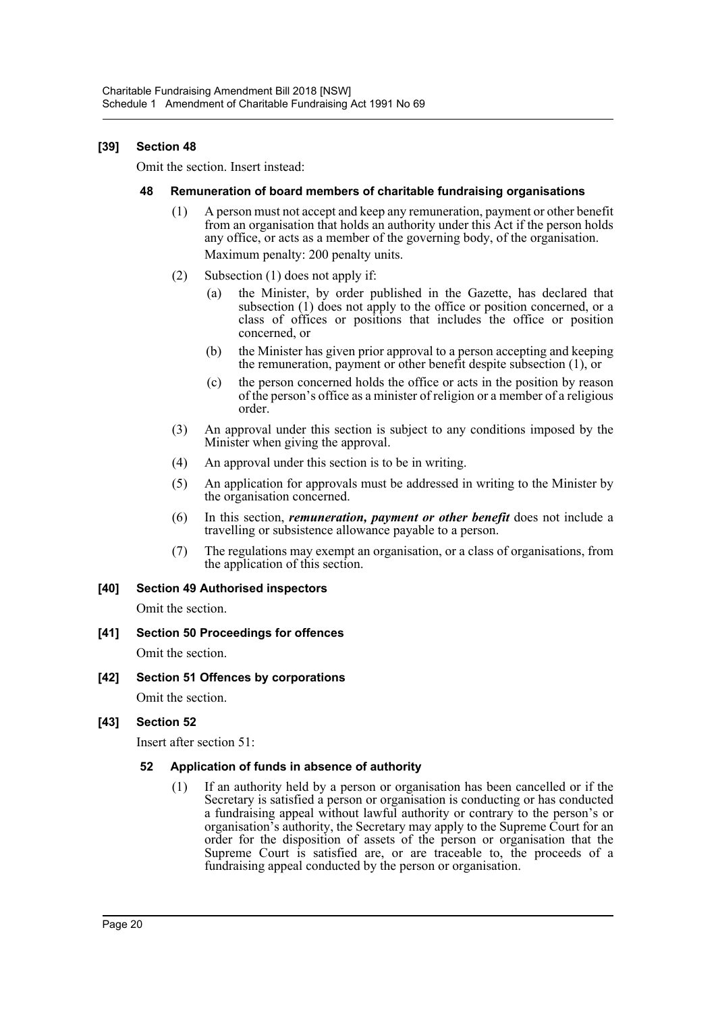# **[39] Section 48**

Omit the section. Insert instead:

#### **48 Remuneration of board members of charitable fundraising organisations**

- (1) A person must not accept and keep any remuneration, payment or other benefit from an organisation that holds an authority under this Act if the person holds any office, or acts as a member of the governing body, of the organisation. Maximum penalty: 200 penalty units.
- (2) Subsection (1) does not apply if:
	- (a) the Minister, by order published in the Gazette, has declared that subsection (1) does not apply to the office or position concerned, or a class of offices or positions that includes the office or position concerned, or
	- (b) the Minister has given prior approval to a person accepting and keeping the remuneration, payment or other benefit despite subsection (1), or
	- (c) the person concerned holds the office or acts in the position by reason of the person's office as a minister of religion or a member of a religious order.
- (3) An approval under this section is subject to any conditions imposed by the Minister when giving the approval.
- (4) An approval under this section is to be in writing.
- (5) An application for approvals must be addressed in writing to the Minister by the organisation concerned.
- (6) In this section, *remuneration, payment or other benefit* does not include a travelling or subsistence allowance payable to a person.
- (7) The regulations may exempt an organisation, or a class of organisations, from the application of this section.

## **[40] Section 49 Authorised inspectors**

Omit the section.

- **[41] Section 50 Proceedings for offences** Omit the section.
- **[42] Section 51 Offences by corporations**

Omit the section.

**[43] Section 52**

Insert after section 51:

## **52 Application of funds in absence of authority**

(1) If an authority held by a person or organisation has been cancelled or if the Secretary is satisfied a person or organisation is conducting or has conducted a fundraising appeal without lawful authority or contrary to the person's or organisation's authority, the Secretary may apply to the Supreme Court for an order for the disposition of assets of the person or organisation that the Supreme Court is satisfied are, or are traceable to, the proceeds of a fundraising appeal conducted by the person or organisation.